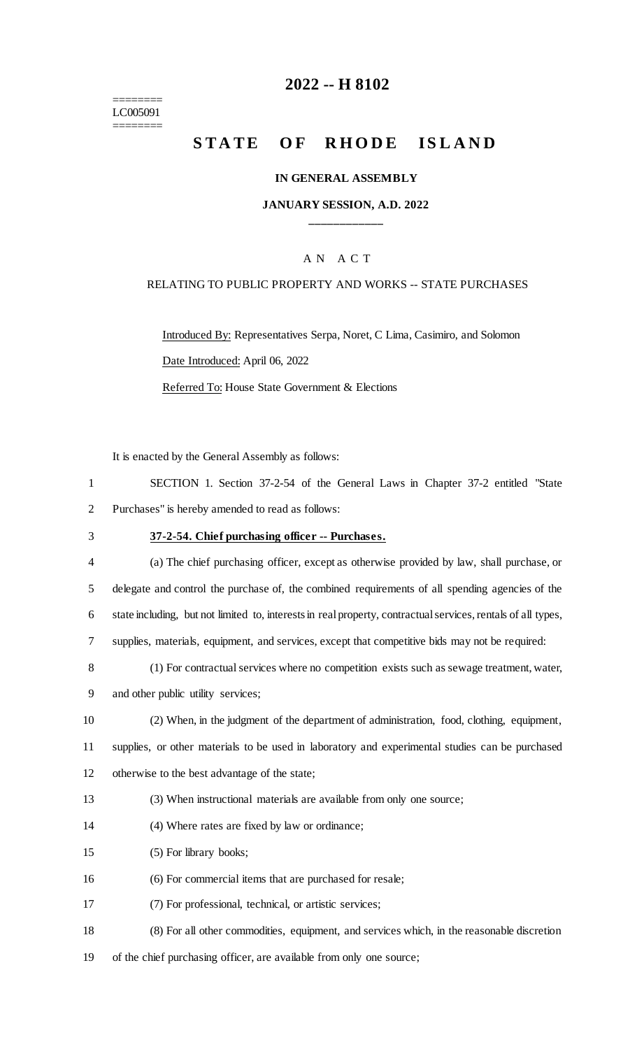======== LC005091 ========

## **2022 -- H 8102**

# **STATE OF RHODE ISLAND**

#### **IN GENERAL ASSEMBLY**

#### **JANUARY SESSION, A.D. 2022 \_\_\_\_\_\_\_\_\_\_\_\_**

#### A N A C T

#### RELATING TO PUBLIC PROPERTY AND WORKS -- STATE PURCHASES

Introduced By: Representatives Serpa, Noret, C Lima, Casimiro, and Solomon Date Introduced: April 06, 2022 Referred To: House State Government & Elections

It is enacted by the General Assembly as follows:

|   | SECTION 1. Section 37-2-54 of the General Laws in Chapter 37-2 entitled "State" |  |
|---|---------------------------------------------------------------------------------|--|
| 2 | Purchases" is hereby amended to read as follows:                                |  |

#### 3 **37-2-54. Chief purchasing officer -- Purchases.**

| $\overline{4}$ | (a) The chief purchasing officer, except as otherwise provided by law, shall purchase, or                    |
|----------------|--------------------------------------------------------------------------------------------------------------|
|                | delegate and control the purchase of, the combined requirements of all spending agencies of the              |
| 6              | state including, but not limited to, interests in real property, contractual services, rentals of all types, |
|                | supplies, materials, equipment, and services, except that competitive bids may not be required:              |

|  |  | (1) For contractual services where no competition exists such as sewage treatment, water, |
|--|--|-------------------------------------------------------------------------------------------|
|  |  |                                                                                           |

9 and other public utility services;

10 (2) When, in the judgment of the department of administration, food, clothing, equipment,

11 supplies, or other materials to be used in laboratory and experimental studies can be purchased

12 otherwise to the best advantage of the state;

13 (3) When instructional materials are available from only one source;

- 14 (4) Where rates are fixed by law or ordinance;
- 15 (5) For library books;
- 16 (6) For commercial items that are purchased for resale;
- 17 (7) For professional, technical, or artistic services;
- 18 (8) For all other commodities, equipment, and services which, in the reasonable discretion
- 19 of the chief purchasing officer, are available from only one source;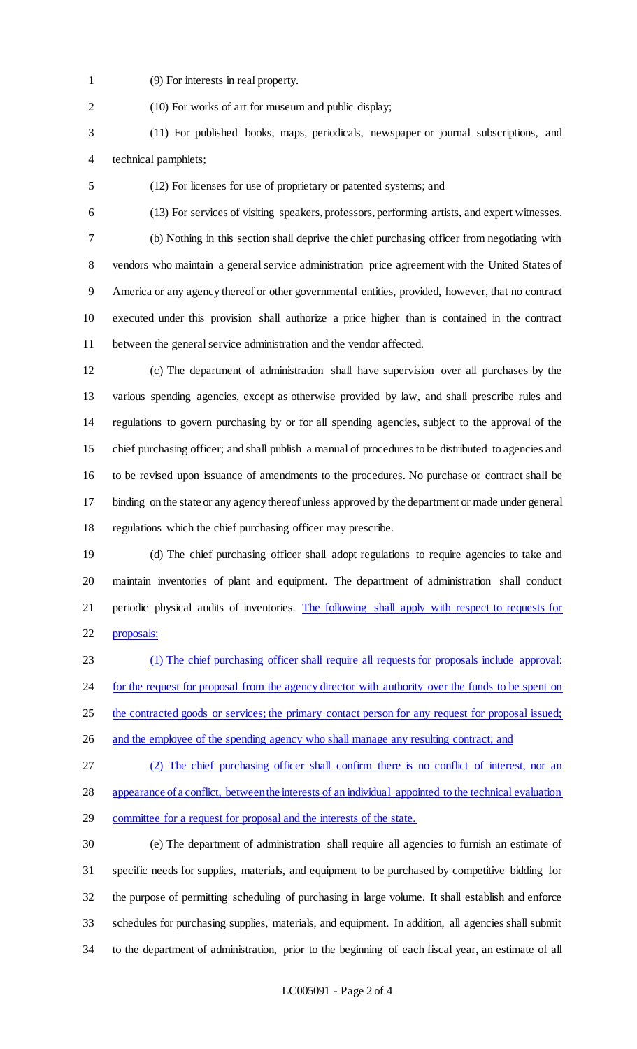(9) For interests in real property.

(10) For works of art for museum and public display;

- (11) For published books, maps, periodicals, newspaper or journal subscriptions, and technical pamphlets;
- (12) For licenses for use of proprietary or patented systems; and
- (13) For services of visiting speakers, professors, performing artists, and expert witnesses. (b) Nothing in this section shall deprive the chief purchasing officer from negotiating with vendors who maintain a general service administration price agreement with the United States of America or any agency thereof or other governmental entities, provided, however, that no contract executed under this provision shall authorize a price higher than is contained in the contract between the general service administration and the vendor affected.
- (c) The department of administration shall have supervision over all purchases by the various spending agencies, except as otherwise provided by law, and shall prescribe rules and regulations to govern purchasing by or for all spending agencies, subject to the approval of the chief purchasing officer; and shall publish a manual of procedures to be distributed to agencies and to be revised upon issuance of amendments to the procedures. No purchase or contract shall be binding on the state or any agency thereof unless approved by the department or made under general regulations which the chief purchasing officer may prescribe.
- (d) The chief purchasing officer shall adopt regulations to require agencies to take and maintain inventories of plant and equipment. The department of administration shall conduct periodic physical audits of inventories. The following shall apply with respect to requests for proposals:
- (1) The chief purchasing officer shall require all requests for proposals include approval: 24 for the request for proposal from the agency director with authority over the funds to be spent on 25 the contracted goods or services; the primary contact person for any request for proposal issued; 26 and the employee of the spending agency who shall manage any resulting contract; and
- (2) The chief purchasing officer shall confirm there is no conflict of interest, nor an appearance of a conflict, between the interests of an individual appointed to the technical evaluation

committee for a request for proposal and the interests of the state.

 (e) The department of administration shall require all agencies to furnish an estimate of specific needs for supplies, materials, and equipment to be purchased by competitive bidding for the purpose of permitting scheduling of purchasing in large volume. It shall establish and enforce schedules for purchasing supplies, materials, and equipment. In addition, all agencies shall submit to the department of administration, prior to the beginning of each fiscal year, an estimate of all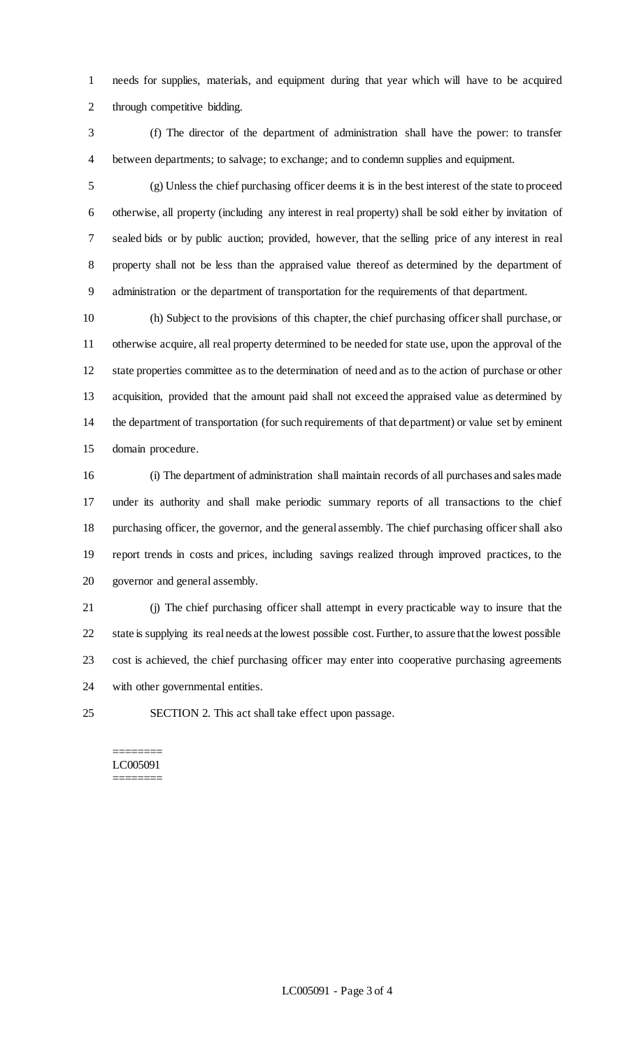needs for supplies, materials, and equipment during that year which will have to be acquired through competitive bidding.

 (f) The director of the department of administration shall have the power: to transfer between departments; to salvage; to exchange; and to condemn supplies and equipment.

 (g) Unless the chief purchasing officer deems it is in the best interest of the state to proceed otherwise, all property (including any interest in real property) shall be sold either by invitation of sealed bids or by public auction; provided, however, that the selling price of any interest in real property shall not be less than the appraised value thereof as determined by the department of administration or the department of transportation for the requirements of that department.

 (h) Subject to the provisions of this chapter, the chief purchasing officer shall purchase, or otherwise acquire, all real property determined to be needed for state use, upon the approval of the state properties committee as to the determination of need and as to the action of purchase or other acquisition, provided that the amount paid shall not exceed the appraised value as determined by the department of transportation (for such requirements of that department) or value set by eminent domain procedure.

 (i) The department of administration shall maintain records of all purchases and sales made under its authority and shall make periodic summary reports of all transactions to the chief purchasing officer, the governor, and the general assembly. The chief purchasing officer shall also report trends in costs and prices, including savings realized through improved practices, to the governor and general assembly.

 (j) The chief purchasing officer shall attempt in every practicable way to insure that the state is supplying its real needs at the lowest possible cost. Further, to assure that the lowest possible cost is achieved, the chief purchasing officer may enter into cooperative purchasing agreements with other governmental entities.

SECTION 2. This act shall take effect upon passage.

======== LC005091 ========